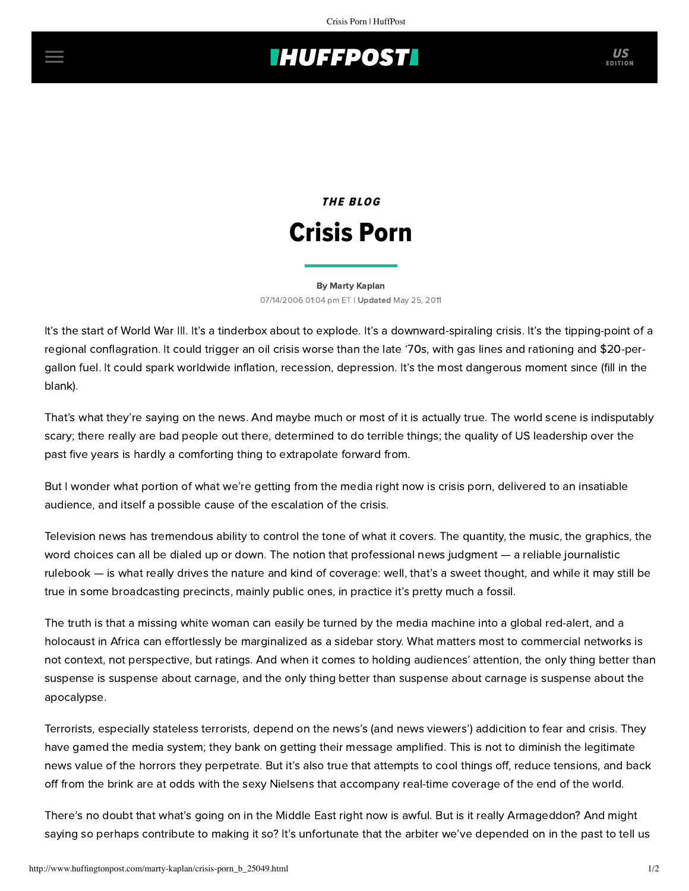## **INUFFPOSTI** US

## **THE BLOG** Crisis Porn

## [By Marty Kaplan](http://www.huffingtonpost.com/author/marty-kaplan) 07/14/2006 01:04 pm ET | Updated May 25, 2011

It's the start of World War III. It's a tinderbox about to explode. It's a downward-spiraling crisis. It's the tipping-point of a regional conflagration. It could trigger an oil crisis worse than the late '70s, with gas lines and rationing and \$20-pergallon fuel. It could spark worldwide inflation, recession, depression. It's the most dangerous moment since (fill in the blank).

That's what they're saying on the news. And maybe much or most of it is actually true. The world scene is indisputably scary; there really are bad people out there, determined to do terrible things; the quality of US leadership over the past five years is hardly a comforting thing to extrapolate forward from.

But I wonder what portion of what we're getting from the media right now is crisis porn, delivered to an insatiable audience, and itself a possible cause of the escalation of the crisis.

Television news has tremendous ability to control the tone of what it covers. The quantity, the music, the graphics, the word choices can all be dialed up or down. The notion that professional news judgment — a reliable journalistic rulebook — is what really drives the nature and kind of coverage: well, that's a sweet thought, and while it may still be true in some broadcasting precincts, mainly public ones, in practice it's pretty much a fossil.

The truth is that a missing white woman can easily be turned by the media machine into a global red-alert, and a holocaust in Africa can effortlessly be marginalized as a sidebar story. What matters most to commercial networks is not context, not perspective, but ratings. And when it comes to holding audiences' attention, the only thing better than suspense is suspense about carnage, and the only thing better than suspense about carnage is suspense about the apocalypse.

Terrorists, especially stateless terrorists, depend on the news's (and news viewers') addicition to fear and crisis. They have gamed the media system; they bank on getting their message amplified. This is not to diminish the legitimate news value of the horrors they perpetrate. But it's also true that attempts to cool things off, reduce tensions, and back off from the brink are at odds with the sexy Nielsens that accompany real-time coverage of the end of the world.

There's no doubt that what's going on in the Middle East right now is awful. But is it really Armageddon? And might saying so perhaps contribute to making it so? It's unfortunate that the arbiter we've depended on in the past to tell us